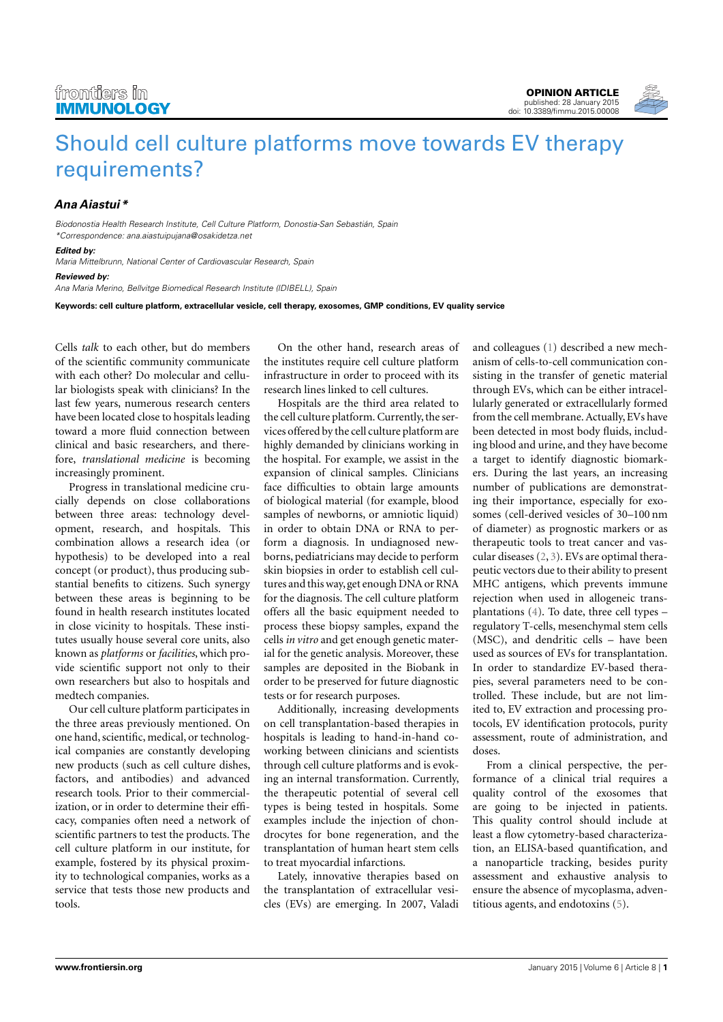

## **[Ana Aiastui \\*](http://www.frontiersin.org/people/u/198225)**

Biodonostia Health Research Institute, Cell Culture Platform, Donostia-San Sebastián, Spain \*Correspondence: [ana.aiastuipujana@osakidetza.net](mailto:ana.aiastuipujana@osakidetza.net)

**Edited by:**

Maria Mittelbrunn, National Center of Cardiovascular Research, Spain

**Reviewed by:**

Ana Maria Merino, Bellvitge Biomedical Research Institute (IDIBELL), Spain

**Keywords: cell culture platform, extracellular vesicle, cell therapy, exosomes, GMP conditions, EV quality service**

Cells *talk* to each other, but do members of the scientific community communicate with each other? Do molecular and cellular biologists speak with clinicians? In the last few years, numerous research centers have been located close to hospitals leading toward a more fluid connection between clinical and basic researchers, and therefore, *translational medicine* is becoming increasingly prominent.

Progress in translational medicine crucially depends on close collaborations between three areas: technology development, research, and hospitals. This combination allows a research idea (or hypothesis) to be developed into a real concept (or product), thus producing substantial benefits to citizens. Such synergy between these areas is beginning to be found in health research institutes located in close vicinity to hospitals. These institutes usually house several core units, also known as *platforms* or *facilities*, which provide scientific support not only to their own researchers but also to hospitals and medtech companies.

Our cell culture platform participates in the three areas previously mentioned. On one hand, scientific, medical, or technological companies are constantly developing new products (such as cell culture dishes, factors, and antibodies) and advanced research tools. Prior to their commercialization, or in order to determine their efficacy, companies often need a network of scientific partners to test the products. The cell culture platform in our institute, for example, fostered by its physical proximity to technological companies, works as a service that tests those new products and tools.

On the other hand, research areas of the institutes require cell culture platform infrastructure in order to proceed with its research lines linked to cell cultures.

Hospitals are the third area related to the cell culture platform. Currently, the services offered by the cell culture platform are highly demanded by clinicians working in the hospital. For example, we assist in the expansion of clinical samples. Clinicians face difficulties to obtain large amounts of biological material (for example, blood samples of newborns, or amniotic liquid) in order to obtain DNA or RNA to perform a diagnosis. In undiagnosed newborns, pediatricians may decide to perform skin biopsies in order to establish cell cultures and this way, get enough DNA or RNA for the diagnosis. The cell culture platform offers all the basic equipment needed to process these biopsy samples, expand the cells *in vitro* and get enough genetic material for the genetic analysis. Moreover, these samples are deposited in the Biobank in order to be preserved for future diagnostic tests or for research purposes.

Additionally, increasing developments on cell transplantation-based therapies in hospitals is leading to hand-in-hand coworking between clinicians and scientists through cell culture platforms and is evoking an internal transformation. Currently, the therapeutic potential of several cell types is being tested in hospitals. Some examples include the injection of chondrocytes for bone regeneration, and the transplantation of human heart stem cells to treat myocardial infarctions.

Lately, innovative therapies based on the transplantation of extracellular vesicles (EVs) are emerging. In 2007, Valadi and colleagues [\(1\)](#page-1-0) described a new mechanism of cells-to-cell communication consisting in the transfer of genetic material through EVs, which can be either intracellularly generated or extracellularly formed from the cell membrane. Actually, EVs have been detected in most body fluids, including blood and urine, and they have become a target to identify diagnostic biomarkers. During the last years, an increasing number of publications are demonstrating their importance, especially for exosomes (cell-derived vesicles of 30–100 nm of diameter) as prognostic markers or as therapeutic tools to treat cancer and vascular diseases [\(2,](#page-1-1) [3\)](#page-1-2). EVs are optimal therapeutic vectors due to their ability to present MHC antigens, which prevents immune rejection when used in allogeneic transplantations [\(4\)](#page-1-3). To date, three cell types – regulatory T-cells, mesenchymal stem cells (MSC), and dendritic cells – have been used as sources of EVs for transplantation. In order to standardize EV-based therapies, several parameters need to be controlled. These include, but are not limited to, EV extraction and processing protocols, EV identification protocols, purity assessment, route of administration, and doses.

From a clinical perspective, the performance of a clinical trial requires a quality control of the exosomes that are going to be injected in patients. This quality control should include at least a flow cytometry-based characterization, an ELISA-based quantification, and a nanoparticle tracking, besides purity assessment and exhaustive analysis to ensure the absence of mycoplasma, adventitious agents, and endotoxins [\(5\)](#page-1-4).